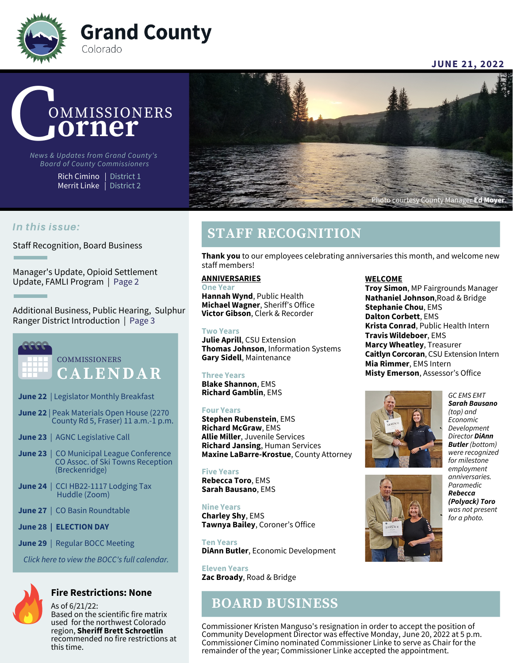

**JUNE 21, 2022**



*News & Updates from Grand County's Board of County Commissioners*

> Rich Cimino | District 1 Merrit Linke | District 2



### In this issue:

Staff Recognition, Board Business

Manager's Update, Opioid Settlement Update, FAMLI Program | Page 2

Additional Business, Public Hearing, Sulphur Ranger District Introduction | Page 3



**COMMISSIONERS C A L E N D A R**

- **June 22** | Legislator Monthly Breakfast
- **June 22** | Peak Materials Open House (2270 County Rd 5, Fraser) 11 a.m.-1 p.m.
- **June 23** | AGNC Legislative Call
- **June 23** | CO Municipal League Conference CO Assoc. of Ski Towns Reception (Breckenridge)
- **June 24** | CCI HB22-1117 Lodging Tax Huddle (Zoom)
- **June 27** | CO Basin Roundtable
- **June 28 | ELECTION DAY**
- **June 29** | Regular BOCC Meeting

*[Click here to view the BOCC's full calendar.](https://www.co.grand.co.us/CivicAlerts.aspx?AID=475)*



### **Fire Restrictions: None**

As of 6/21/22: Based on the scientific fire matrix used for the northwest Colorado region, **Sheriff Brett Schroetlin** recommended no fire restrictions at this time.

## **STAFF RECOGNITION**

**Thank you** to our employees celebrating anniversaries this month, and welcome new staff members!

### **ANNIVERSARIES**

**One Year Hannah Wynd**, Public Health **Michael Wagner**, Sheriff's Office **Victor Gibson**, Clerk & Recorder

### **Two Years**

**Julie Aprill**, CSU Extension **Thomas Johnson**, Information Systems **Gary Sidell**, Maintenance

### **Three Years**

**Blake Shannon**, EMS **Richard Gamblin**, EMS

### **Four Years**

**Stephen Rubenstein**, EMS **Richard McGraw**, EMS **Allie Miller**, Juvenile Services **Richard Jansing**, Human Services **Maxine LaBarre-Krostue**, County Attorney

#### **Five Years Rebecca Toro**, EMS **Sarah Bausano**, EMS

**Nine Years Charley Shy**, EMS **Tawnya Bailey**, Coroner's Office

**Ten Years DiAnn Butler**, Economic Development

**Eleven Years Zac Broady**, Road & Bridge

### **BOARD BUSINESS**

**WELCOME**

**Troy Simon**, MP Fairgrounds Manager **Nathaniel Johnson**,Road & Bridge **Stephanie Chou**, EMS **Dalton Corbett**, EMS **Krista Conrad**, Public Health Intern **Travis Wildeboer**, EMS **Marcy Wheatley**, Treasurer **Caitlyn Corcoran**, CSU Extension Intern **Mia Rimmer**, EMS Intern **Misty Emerson**, Assessor's Office



*Sarah Bausano (top) and Economic Development Director DiAnn Butler (bottom) were recognized for milestone employment anniversaries. Paramedic Rebecca (Polyack) Toro was not present for a photo.*

*GC EMS EMT*



Commissioner Kristen Manguso's resignation in order to accept the position of Community Development Director was effective Monday, June 20, 2022 at 5 p.m. Commissioner Cimino nominated Commissioner Linke to serve as Chair for the remainder of the year; Commissioner Linke accepted the appointment.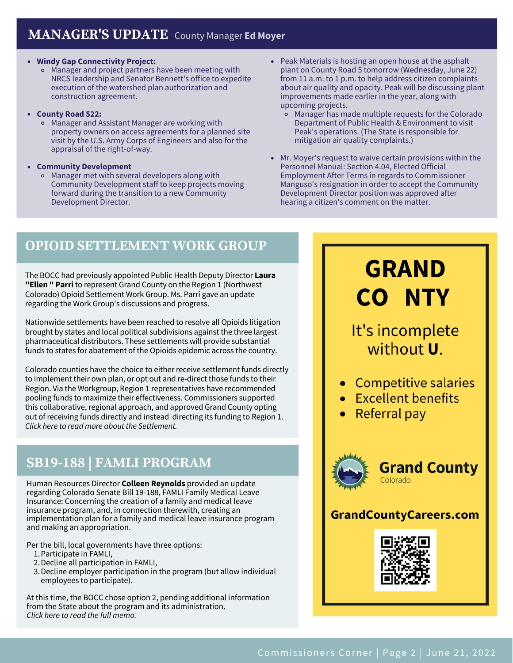### **Windy Gap Connectivity Project:**

- Manager and project partners have been meeting with NRCS leadership and Senator Bennett's office to expedite execution of the watershed plan authorization and construction agreement.
- **County Road 522:**
	- Manager and Assistant Manager are working with property owners on access agreements for a planned site visit by the U.S. Army Corps of Engineers and also for the appraisal of the right-of-way.
- **Community Development**
	- Manager met with several developers along with Community Development staff to keep projects moving forward during the transition to a new Community Development Director.
- Peak Materials is hosting an open house at the asphalt plant on County Road 5 tomorrow (Wednesday, June 22) from 11 a.m. to 1 p.m. to help address citizen complaints about air quality and opacity. Peak will be discussing plant improvements made earlier in the year, along with upcoming projects.
	- Manager has made multiple requests for the Colorado Department of Public Health & Environment to visit Peak's operations. (The State is responsible for mitigation air quality complaints.)
- Mr. Moyer's request to waive certain provisions within the Personnel Manual: Section 4.04, Elected Official Employment After Terms in regards to Commissioner Manguso's resignation in order to accept the Community Development Director position was approved after hearing a citizen's comment on the matter.

# **OPIOID SETTLEMENT WORK GROUP**

The BOCC had previously appointed Public Health Deputy Director **Laura "Ellen " Parri** to represent Grand County on the Region 1 (Northwest Colorado) Opioid Settlement Work Group. Ms. Parri gave an update regarding the Work Group's discussions and progress.

Nationwide settlements have been reached to resolve all Opioids litigation brought by states and local political subdivisions against the three largest pharmaceutical distributors. These settlements will provide substantial funds to states for abatement of the Opioids epidemic across the country.

Colorado counties have the choice to either receive settlement funds directly to implement their own plan, or opt out and re-direct those funds to their Region. Via the Workgroup, Region 1 representatives have recommended pooling funds to maximize their effectiveness. Commissioners supported this collaborative, regional approach, and approved Grand County opting out of receiving funds directly and instead directing its funding to Region 1. *Click here to read more about the [Settlement.](https://nationalopioidsettlement.com/)*

# **SB19-188 | FAMLI PROGRAM**

Human Resources Director **Colleen Reynolds** provided an update regarding Colorado Senate Bill 19-188, FAMLI Family Medical Leave Insurance: Concerning the creation of a family and medical leave insurance program, and, in connection therewith, creating an implementation plan for a family and medical leave insurance program and making an appropriation.

Per the bill, local governments have three options:

- 1. Participate in FAMLI,
- 2. Decline all participation in FAMLI,
- 3. Decline employer participation in the program (but allow individual employees to participate).

At this time, the BOCC chose option 2, pending additional information from the State about the program and its administration. *Click here to read the full [memo.](https://grandco.app.box.com/v/boccsupporteddocuments/file/972729908569)*

# **GRAND CO NTY**

# It's incomplete without U.

- Competitive salaries
- Excellent benefits
- Referral pay



### **GrandCountyCareers.com**